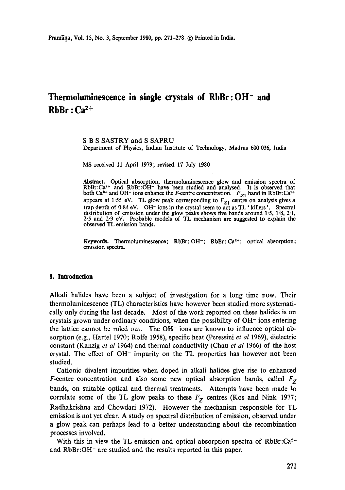# **Thermoluminescence in single crystals of RbBr:OH- and**   $RbBr: Ca<sup>2+</sup>$

S B S SASTRY and S SAPRU Department of Physics, Indian Institute of Technology, Madras 600 036, India

MS received 11 April 1979; revised 17 July 1980

Abstract. Optical absorption, thermoluminescence glow and emission spectra of RbBr:Ca<sup>2+</sup> and RbBr:OH<sup>-</sup> have been studied and analysed. It is observed that both  $Ca^{2+}$  and OH<sup>-</sup> ions enhance the *F*-centre concentration.  $F_{Z1}$  band in RbBr:Ca<sup>2+</sup> appears at 1.55 eV. TL glow peak corresponding to  $F_{Z_1}$  centre on analysis gives a trap depth of 0-84 eV. OH- ions in the crystal seem to act as TL' killers'. Spectral distribution of emission under the glow peaks shows five bands around 1.5, 1.8, 2.1, 2.5 and 2.9 eV. Probable models of TL mechanism are suggested to explain the observed TL emission bands.

Keywords. Thermoluminescence; RbBr: OH<sup>-</sup>; RbBr: Ca<sup>2+</sup>; optical absorption; emission spectra.

#### **1. Introduction**

Alkali halides have been a subject of investigation for a long time now. Their thermoluminescence (TL) characteristics have however been studied more systematically only during the last decade. Most of the work reported on these halides is on crystals grown under ordinary conditions, when the possibility of  $OH<sup>-</sup>$  ions entering the lattice cannot be ruled out. The  $OH^-$  ions are known to influence optical absorption (e.g., Hartel 1970; Rolfe 1958), specific heat (Peressini *et al* 1969), dielectric constant (Kanzig *et al* 1964) and thermal conductivity (Chau *et al* 1966) of the host crystal. The effect of OH- impurity on the TL properties has however not been studied.

Cationic divalent impurities when doped in alkali halides give rise to enhanced *F*-centre concentration and also some new optical absorption bands, called  $F<sub>Z</sub>$ bands, on suitable optical and thermal treatments. Attempts have been made to correlate some of the TL glow peaks to these  $F<sub>Z</sub>$  centres (Kos and Nink 1977; Radhakrishna and Chowdari 1972). However the mechanism responsible for TL emission is not yet clear. A study on spectral distribution of emission, observed under a glow peak can perhaps lead to a better understanding about the recombination processes involved.

With this in view the TL emission and optical absorption spectra of  $RbBr:Ca<sup>2+</sup>$ and RbBr :OH- are studied and the results reported in this paper.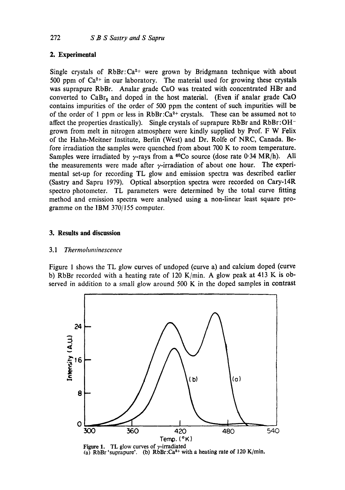#### **2. Experimental**

Single crystals of  $RbBr: Ca^{2+}$  were grown by Bridgmann technique with about 500 ppm of  $Ca^{2+}$  in our laboratory. The material used for growing these crystals was suprapure RbBr. Analar grade CaO was treated with concentrated HBr and converted to CaBr<sub>2</sub> and doped in the host material. (Even if analar grade CaO contains impurities of the order of 500 ppm the content of such impurities will be of the order of 1 ppm or less in  $RbBr:Ca^{2+}$  crystals. These can be assumed not to affect the properties drastically). Single crystals of suprapure RbBr and RbBr:OHgrown from melt in nitrogen atmosphere were kindly supplied by Prof. F W Felix of the Hahn-Meitner Institute, Berlin (West) and Dr. Rolfe of NRC, Canada. Before irradiation the samples were quenched from about 700 K to room temperature. Samples were irradiated by  $\gamma$ -rays from a <sup>60</sup>Co source (dose rate 0.34 MR/h). All the measurements were made after  $\gamma$ -irradiation of about one hour. The experimental set-up for recording TL glow and emission spectra was described earlier (Sastry and Sapru 1979). Optical absorption spectra were recorded on Cary-14R spectro photometer. TL parameters were determined by the total curve fitting method and emission spectra were analysed using a non-linear least square programme on the IBM 370/155 computer.

#### **3. Results and discussion**

#### *3.1 Thermohmlinescence*

Figure 1 shows the TL glow curves of undoped (curve a) and calcium doped (curve b) RbBr recorded with a heating rate of 120 K/min. A glow peak at 413 K is observed in addition to a small glow around 500 K in the doped samples in contrast



Figure 1. TL glow curves of  $\gamma$ -irradiated (a) RbBr 'suprapure'. (b) RbBr:Ca<sup>2+</sup> with a heating rate of 120 K/min,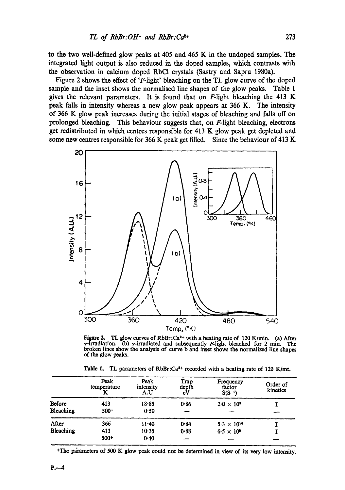to the two well-defined glow peaks at 405 and 465 K in the undoped samples. The integrated light output is also reduced in the doped samples, which contrasts with the observation in calcium doped RbCI crystals (Sastry and Sapru 1980a).

Figure 2 shows the effect of 'F-light' bleaching on the TL glow curve of the doped sample and the inset shows the normalised line shapes of the glow peaks. Table 1 gives the relevant parameters. It is found that on  $F$ -light bleaching the 413 K peak falls in intensity whereas a new glow peak appears at 366 K. The intensity of 366 K glow peak increases during the initial stages of bleaching and falls off on prolonged bleaching. This behaviour suggests that, on F-light bleaching, electrons get redistributed in which centres responsible for 413 K glow peak get depleted and some new centres responsible for 366 K peak get filled. Since the behaviour of 413 K



Figure 2. TL glow curves of RbBr:Ca<sup>2+</sup> with a heating rate of 120 K/min. (a) After  $\gamma$ -irradiation. (b)  $\gamma$ -irradiated and subsequently F-light bleached for 2 min. The broken lines show the analysis of curve b and inset shows the normalized line shapes of the glow peaks.

Table 1. TL parameters of RbBr: $Ca<sup>2+</sup>$  recorded with a heating rate of 120 K/mt.

|                  | Peak<br>temperature<br>K | Peak<br>intensity<br>A.U | Trap<br>depth<br>eV | Frequency<br>factor<br>$S(S^{-1})$ | Order of<br>kinetics |
|------------------|--------------------------|--------------------------|---------------------|------------------------------------|----------------------|
| Before           | 413                      | $18 - 85$                | 0.86                | $2.0 \times 10^9$                  |                      |
| Bleaching        | $500+$                   | 0.50                     |                     |                                    |                      |
| After            | 366                      | $11 - 40$                | 0.84                | $5.3 \times 10^{10}$               |                      |
| <b>Bleaching</b> | 413                      | $10-35$                  | $0 - 88$            | $6.5 \times 10^6$                  |                      |
|                  | $500+$                   | 0.40                     |                     |                                    |                      |

+The parameters of 500 K glow peak could not be determined in view of its very low intensity.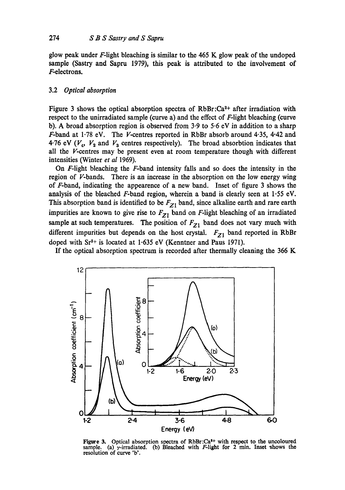glow peak under F-light bleaching is similar to the 465 K glow peak of the undoped sample (Sastry and Sapru 1979), this peak is attributed to the involvement of F-electrons.

#### 3.2 *Optical absorption*

Figure 3 shows the optical absorption spectra of  $RbBr:Ca<sup>3+</sup>$  after irradiation with respect to the unirradiated sample (curve a) and the effect of F-light bleaching (curve b). A broad absorption region is observed from 3.9 to 5-6 eV in addition to a sharp F-band at 1.78 eV. The V-centres reported in RbBr absorb around 4.35, 4.42 and 4.76 eV ( $V_4$ ,  $V_2$  and  $V_3$  centres respectively). The broad absorbtion indicates that all the V-centres may be present even at room temperature though with different intensities (Winter *et al* 1969).

On F-light bleaching the F-band intensity falls and so does the intensity in the region of V-bands. There is an increase in the absorption on the low energy wing of F-band, indicating the appearence of a new band. Inset of figure 3 shows the analysis of the bleached F-band region, wherein a band is clearly seen at 1-55 eV. This absorption band is identified to be  $F_{Z1}$  band, since alkaline earth and rare earth impurities are known to give rise to  $F_{Z1}$  band on F-light bleaching of an irradiated sample at such temperatures. The position of  $F_{Z1}$  band does not vary much with different impurities but depends on the host crystal.  $F_{Z1}$  band reported in RbBr doped with  $Sr^{2+}$  is located at 1.635 eV (Kenntner and Paus 1971).

If the optical absorption spectrum is recorded after thermally cleaning the 366 K



Figure 3. Optical absorption spectra of RbBr:Ca<sup>1+</sup> with respect to the uncoloured sample. (a)  $\gamma$ -irradiated. (b) Bleached with F-light for 2 min. Inset shows the resolution of curve 'b'.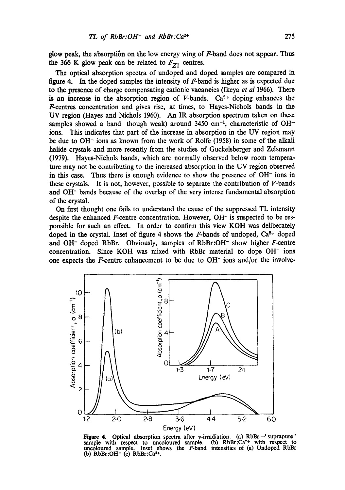glow peak, the absorption on the low energy wing of  $F$ -band does not appear. Thus the 366 K glow peak can be related to  $F_{Z1}$  centres.

The optical absorption spectra of undoped and doped samples are compared in figure 4. In the doped samples the intensity of  $F$ -band is higher as is expected due to the presence of charge compensating cationic vacancies (Ikeya *et al* 1966). There is an increase in the absorption region of  $V$ -bands.  $Ca^{2+}$  doping enhances the F-centres concentration and gives rise, at times, to Hayes-Nichols bands in the UV region (Hayes and Nichols 1960). An IR absorption spectrum taken on these samples showed a band though weak) around 3450 cm<sup>-1</sup>, characteristic of OH<sup>-1</sup> ions. This indicates that part of the increase in absorption in the UV region may be due to OH- ions as known from the work of Rolfe (1958) in some of the alkali halide crystals and more recently from the studies of Guckelsberger and Zelsmann (1979). Hayes-Nichols bands, which are normally observed below room temperature may not be contributing to the increased absorption in the UV region observed in this case. Thus there is enough evidence to show the presence of OH<sup>-</sup> ions in these crystals. It is not, however, possible to separate the contribution of  $V$ -bands and OH- bands because of the overlap of the very intense fundamental absorption of the crystal.

On first thought one fails to understand the cause of the suppressed TL intensity despite the enhanced F-centre concentration. However, OH<sup>-</sup> is suspected to be responsible for such an effect. In order to confirm this view KOH was deliberately doped in the crystal. Inset of figure 4 shows the  $F$ -bands of undoped,  $Ca^{2+}$  doped and OH- doped RbBr. Obviously, samples of RbBr:OH- show higher F-centre concentration. Since KOH was mixed with RbBr material to dope OH- ions one expects the F-centre enhancement to be due to  $OH^-$  ions and/or the involve-



**Figure 4.** Optical absorption spectra after  $\gamma$ -irradiation. (a) RbBr— suprapure' sample with respect to uncoloured sample. (b)  $RbBr:Ca<sup>2+</sup>$  with respect to uncoloured sample. Inset shows the  $F$ -band intensities of (a) Undoped RbBr (b)  $RbBr:OH^-$  (c)  $RbBr:Ca^{2+}$ .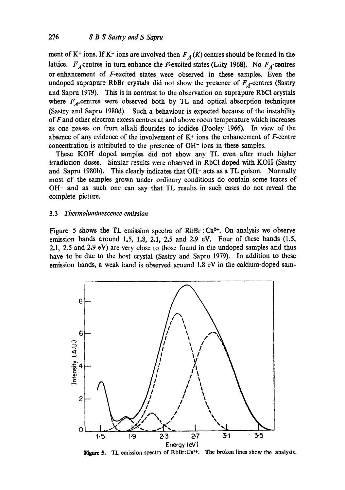ment of K<sup>+</sup> ions. If K<sup>+</sup> ions are involved then  $F_A(K)$  centres should be formed in the lattice.  $F_A$  centres in turn enhance the *F*-excited states (Lüty 1968). No  $F_A$ -centres or enhancement of F-excited states were observed in these samples. Even the undoped suprapure RbBr crystals did not show the presence of  $F_A$ -centres (Sastry and Sapru 1979). This is in contrast to the observation on suprapure RbC1 crystals where  $F_A$ -centres were observed both by TL and optical absorption techniques (Sastry and Sapru 1980d). Such a behaviour is expected because of the instability of F and other electron excess centres at and above room temperature which increases as one passes on from alkali flourides to iodides (Pooley 1966). In view of the absence of any evidence of the involvement of  $K<sup>+</sup>$  ions the enhancement of F-centre concentration is attributed to the presence of OH- ions in these samples.

These KOH doped samples did not show any TL even after much higher irradiation doses. Similar results were observed in RbCI doped with KOH (Sastry and Sapru 1980b). This clearly indicates that OH<sup>-</sup> acts as a TL poison. Normally most of the samples grown under ordinary conditions do contain some traces of OH- and as such one can say that TL results in such cases do not reveal the complete picture.

#### 3.3 *Thermoluminescence emission*

Figure 5 shows the TL emission spectra of  $RbBr : Ca^{2+}$ . On analysis we observe emission bands around 1.5, 1.8, 2.1, 2.5 and 2.9 eV. Four of these bands (1.5, 2.1, 2.5 and 2.9 eV) are very close to those found in the undoped samples and thus have to be due to the host crystal (Sastry and Sapru 1979). In addition to these emission bands, a weak band is observed around 1.8 eV in the calcium-doped sam-



Figure 5. TL emission spectra of RbBr:Ca<sup>2+</sup>. The broken lines show the analysis.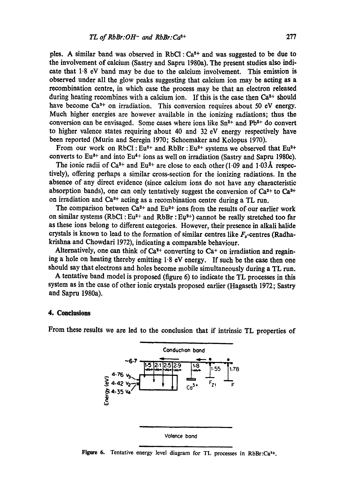ples. A similar band was observed in RbCl :  $Ca<sup>2+</sup>$  and was suggested to be due to the involvement of calcium (Sastry and Sapru 1980a). The present studies also indicate that 1.8 eV band may be due to the calcium involvement. This emission is observed under all the glow peaks suggesting that calcium ion may be acting as a recombination centre, in which case the process may be that an electron released during heating recombines with a calcium ion. If this is the case then  $Ca^{2+}$  should have become  $Ca<sup>3+</sup>$  on irradiation. This conversion requires about 50 eV energy. Much higher energies are however available in the ionizing radiations; thus the conversion can be envisaged. Some cases where ions like  $Sn^{2+}$  and  $Pb^{2+}$  do convert to higher valence states requiring about 40 and 32 eV energy respectively have been reported (Murin and Seregin 1970; Schoemaker and Kolopus 1970).

From our work on RbCl: Eu<sup>2+</sup> and RbBr: Eu<sup>2+</sup> systems we observed that Eu<sup>2+</sup> converts to Eu<sup> $3+$ </sup> and into Eu<sup> $4+$ </sup> ions as well on irradiation (Sastry and Sapru 1980c).

The ionic radii of Ca<sup>2+</sup> and Eu<sup>2+</sup> are close to each other (1.09 and 1.03Å respectively), offering perhaps a similar cross-section for the ionizing radiations. In the absence of any direct evidence (since calcium ions do not have any characteristic absorption bands), one can only tentatively suggest the conversion of  $Ca^{2+}$  to  $Ca^{3+}$ on irradiation and Ca<sup>3+</sup> acting as a recombination centre during a TL run.

The comparison between  $Ca^{2+}$  and  $Eu^{2+}$  ions from the results of our earlier work on similar systems (RbCl:  $Eu^{2+}$  and RbBr:  $Eu^{2+}$ ) cannot be really stretched too far as these ions belong to different categories. However, their presence in alkali halide crystals is known to lead to the formation of similar centres like  $F<sub>z</sub>$ -centres (Radhakrishna and Chowdari 1972), indicating a comparable behaviour.

Alternatively, one can think of  $Ca^{2+}$  converting to  $Ca^{+}$  on irradiation and regaining a hole on heating thereby emitting 1.8 eV energy. If such be the case then one should say that electrons and holes become mobile simultaneously during a TL run.

A tentative band model is proposed (figure 6) to indicate the TL processes in this system as in the case of other ionic crystals proposed earlier (Hagaseth 1972; Sastry and Sapru 1980a).

#### **4. Conclusions**

From these results we are led to the conclusion that if intrinsic TL properties of



Figure 6. Tentative energy level diagram for TL processes in  $RbBr:Ca<sup>2+</sup>$ .